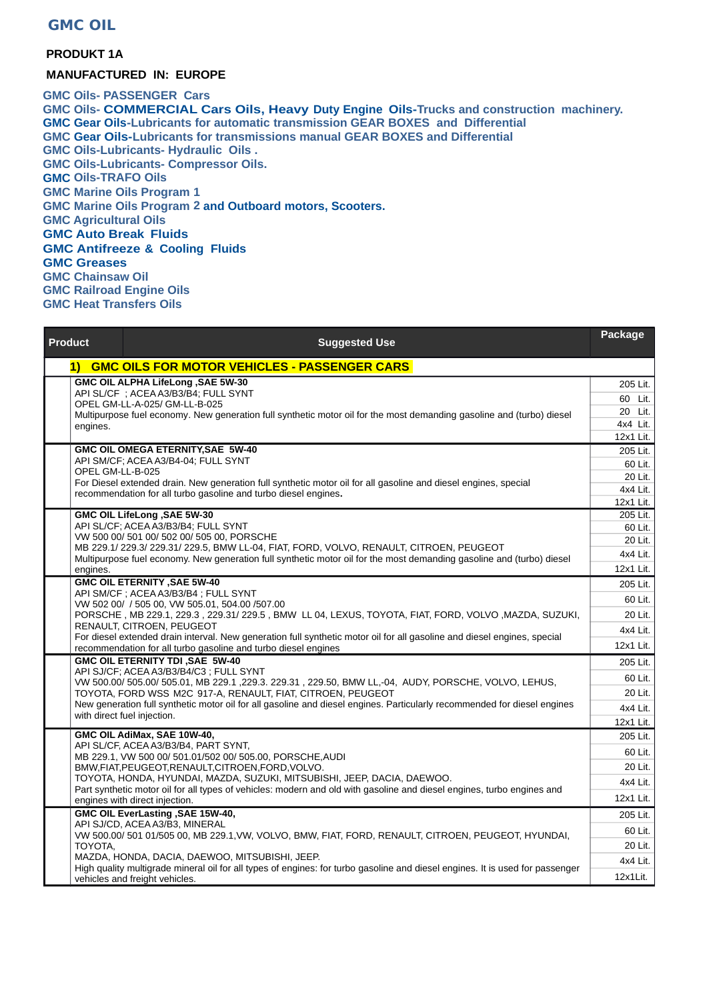## **GMC OIL**

## **PRODUKT 1A**

## **MANUFACTURED IN: EUROPE**

**GMC Oils- PASSENGER Cars GMC Oils- COMMERCIAL Cars Oils, Heavy Duty Engine Oils-Trucks and construction machinery. GMC Gear Oils-Lubricants for automatic transmission GEAR BOXES and Differential GMC Gear Oils-Lubricants for transmissions manual GEAR BOXES and Differential GMC Oils-Lubricants- Hydraulic Oils . GMC Oils-Lubricants- Compressor Oils. GMC Oils-TRAFO Oils GMC Marine Oils Program 1 GMC Marine Oils Program 2 and Outboard motors, Scooters. GMC Agricultural Oils GMC Auto Break Fluids GMC Antifreeze & Cooling Fluids GMC Greases GMC Chainsaw Oil GMC Railroad Engine Oils GMC Heat Transfers Oils**

| <b>Product</b>   | <b>Suggested Use</b>                                                                                                                                                                                                                                          | Package             |
|------------------|---------------------------------------------------------------------------------------------------------------------------------------------------------------------------------------------------------------------------------------------------------------|---------------------|
| 1)               | <b>GMC OILS FOR MOTOR VEHICLES - PASSENGER CARS</b>                                                                                                                                                                                                           |                     |
|                  | GMC OIL ALPHA LifeLong , SAE 5W-30                                                                                                                                                                                                                            | 205 Lit.            |
|                  | API SL/CF ; ACEA A3/B3/B4; FULL SYNT<br>OPEL GM-LL-A-025/ GM-LL-B-025                                                                                                                                                                                         | 60 Lit.             |
|                  | Multipurpose fuel economy. New generation full synthetic motor oil for the most demanding gasoline and (turbo) diesel                                                                                                                                         | 20 Lit.             |
| engines.         |                                                                                                                                                                                                                                                               | 4x4 Lit.            |
|                  | GMC OIL OMEGA ETERNITY, SAE 5W-40                                                                                                                                                                                                                             | 12x1 Lit.           |
|                  | API SM/CF; ACEA A3/B4-04; FULL SYNT                                                                                                                                                                                                                           | 205 Lit.<br>60 Lit. |
| OPEL GM-LL-B-025 |                                                                                                                                                                                                                                                               | 20 Lit.             |
|                  | For Diesel extended drain. New generation full synthetic motor oil for all gasoline and diesel engines, special<br>recommendation for all turbo gasoline and turbo diesel engines.                                                                            | 4x4 Lit.            |
|                  |                                                                                                                                                                                                                                                               | 12x1 Lit.           |
|                  | <b>GMC OIL LifeLong, SAE 5W-30</b>                                                                                                                                                                                                                            | 205 Lit.            |
|                  | API SL/CF; ACEA A3/B3/B4; FULL SYNT<br>VW 500 00/ 501 00/ 502 00/ 505 00, PORSCHE                                                                                                                                                                             | 60 Lit.             |
|                  | MB 229.1/ 229.3/ 229.31/ 229.5, BMW LL-04, FIAT, FORD, VOLVO, RENAULT, CITROEN, PEUGEOT                                                                                                                                                                       | 20 Lit.             |
|                  | Multipurpose fuel economy. New generation full synthetic motor oil for the most demanding gasoline and (turbo) diesel                                                                                                                                         | 4x4 Lit.            |
| engines.         |                                                                                                                                                                                                                                                               | 12x1 Lit.           |
|                  | <b>GMC OIL ETERNITY , SAE 5W-40</b><br>API SM/CF ; ACEA A3/B3/B4 ; FULL SYNT                                                                                                                                                                                  | 205 Lit.            |
|                  | VW 502 00/ / 505 00, VW 505.01, 504.00 / 507.00                                                                                                                                                                                                               | 60 Lit.             |
|                  | PORSCHE, MB 229.1, 229.3, 229.31/ 229.5, BMW LL 04, LEXUS, TOYOTA, FIAT, FORD, VOLVO, MAZDA, SUZUKI,<br>RENAULT, CITROEN, PEUGEOT<br>For diesel extended drain interval. New generation full synthetic motor oil for all gasoline and diesel engines, special | 20 Lit.             |
|                  |                                                                                                                                                                                                                                                               | 4x4 Lit.            |
|                  | recommendation for all turbo gasoline and turbo diesel engines                                                                                                                                                                                                | 12x1 Lit.           |
|                  | <b>GMC OIL ETERNITY TDI, SAE 5W-40</b>                                                                                                                                                                                                                        | 205 Lit.            |
|                  | API SJ/CF; ACEA A3/B3/B4/C3; FULL SYNT<br>VW 500.00/ 505.00/ 505.01, MB 229.1, 229.3. 229.31, 229.50, BMW LL,-04, AUDY, PORSCHE, VOLVO, LEHUS,                                                                                                                | 60 Lit.             |
|                  | TOYOTA, FORD WSS M2C 917-A, RENAULT, FIAT, CITROEN, PEUGEOT                                                                                                                                                                                                   | 20 Lit.             |
|                  | New generation full synthetic motor oil for all gasoline and diesel engines. Particularly recommended for diesel engines                                                                                                                                      | 4x4 Lit.            |
|                  | with direct fuel injection.                                                                                                                                                                                                                                   | 12x1 Lit.           |
|                  | GMC OIL AdiMax, SAE 10W-40,                                                                                                                                                                                                                                   | 205 Lit.            |
|                  | API SL/CF, ACEA A3/B3/B4, PART SYNT,<br>MB 229.1, VW 500 00/ 501.01/502 00/ 505.00, PORSCHE, AUDI                                                                                                                                                             | 60 Lit.             |
|                  | BMW,FIAT,PEUGEOT,RENAULT,CITROEN,FORD,VOLVO.                                                                                                                                                                                                                  | 20 Lit.             |
|                  | TOYOTA, HONDA, HYUNDAI, MAZDA, SUZUKI, MITSUBISHI, JEEP, DACIA, DAEWOO.                                                                                                                                                                                       | 4x4 Lit.            |
|                  | Part synthetic motor oil for all types of vehicles: modern and old with gasoline and diesel engines, turbo engines and<br>engines with direct injection.                                                                                                      | 12x1 Lit.           |
|                  | GMC OIL EverLasting , SAE 15W-40,                                                                                                                                                                                                                             | 205 Lit.            |
|                  | API SJ/CD, ACEA A3/B3, MINERAL                                                                                                                                                                                                                                | 60 Lit.             |
| TOYOTA,          | VW 500.00/ 501 01/505 00, MB 229.1, VW, VOLVO, BMW, FIAT, FORD, RENAULT, CITROEN, PEUGEOT, HYUNDAI,                                                                                                                                                           | 20 Lit.             |
|                  | MAZDA, HONDA, DACIA, DAEWOO, MITSUBISHI, JEEP.                                                                                                                                                                                                                | 4x4 Lit.            |
|                  | High quality multigrade mineral oil for all types of engines: for turbo gasoline and diesel engines. It is used for passenger<br>vehicles and freight vehicles.                                                                                               | 12x1Lit.            |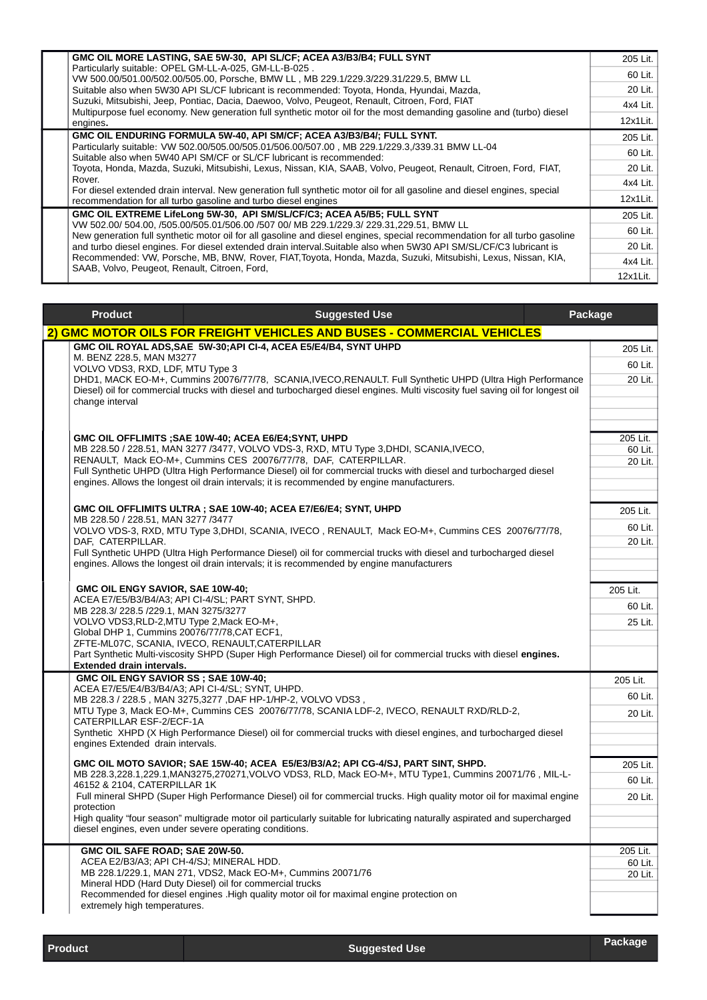|  | GMC OIL MORE LASTING, SAE 5W-30, API SLICF; ACEA A3/B3/B4; FULL SYNT                                                                                                                                                                                                                                                                                                                                                                                                                                          | 205 Lit. |
|--|---------------------------------------------------------------------------------------------------------------------------------------------------------------------------------------------------------------------------------------------------------------------------------------------------------------------------------------------------------------------------------------------------------------------------------------------------------------------------------------------------------------|----------|
|  | Particularly suitable: OPEL GM-LL-A-025, GM-LL-B-025.<br>VW 500.00/501.00/502.00/505.00, Porsche, BMW LL, MB 229.1/229.3/229.31/229.5, BMW LL                                                                                                                                                                                                                                                                                                                                                                 | 60 Lit.  |
|  | Suitable also when 5W30 API SL/CF lubricant is recommended: Toyota, Honda, Hyundai, Mazda,                                                                                                                                                                                                                                                                                                                                                                                                                    | 20 Lit.  |
|  | Suzuki, Mitsubishi, Jeep, Pontiac, Dacia, Daewoo, Volvo, Peugeot, Renault, Citroen, Ford, FIAT<br>Multipurpose fuel economy. New generation full synthetic motor oil for the most demanding gasoline and (turbo) diesel<br>engines.                                                                                                                                                                                                                                                                           | 4x4 Lit. |
|  |                                                                                                                                                                                                                                                                                                                                                                                                                                                                                                               | 12x1Lit. |
|  | GMC OIL ENDURING FORMULA 5W-40, API SM/CF; ACEA A3/B3/B4/; FULL SYNT.                                                                                                                                                                                                                                                                                                                                                                                                                                         | 205 Lit. |
|  | Particularly suitable: VW 502.00/505.00/505.01/506.00/507.00, MB 229.1/229.3./339.31 BMW LL-04<br>Suitable also when 5W40 API SM/CF or SL/CF lubricant is recommended:<br>Toyota, Honda, Mazda, Suzuki, Mitsubishi, Lexus, Nissan, KIA, SAAB, Volvo, Peugeot, Renault, Citroen, Ford, FIAT,<br>Rover.<br>For diesel extended drain interval. New generation full synthetic motor oil for all gasoline and diesel engines, special<br>recommendation for all turbo gasoline and turbo diesel engines           | 60 Lit.  |
|  |                                                                                                                                                                                                                                                                                                                                                                                                                                                                                                               | 20 Lit.  |
|  |                                                                                                                                                                                                                                                                                                                                                                                                                                                                                                               | 4x4 Lit. |
|  |                                                                                                                                                                                                                                                                                                                                                                                                                                                                                                               | 12x1Lit. |
|  | GMC OIL EXTREME LifeLong 5W-30, API SM/SL/CF/C3; ACEA A5/B5; FULL SYNT                                                                                                                                                                                                                                                                                                                                                                                                                                        | 205 Lit. |
|  | VW 502.00/ 504.00, /505.00/505.01/506.00 /507 00/ MB 229.1/229.3/ 229.31,229.51, BMW LL<br>New generation full synthetic motor oil for all gasoline and diesel engines, special recommendation for all turbo gasoline<br>and turbo diesel engines. For diesel extended drain interval. Suitable also when 5W30 API SM/SL/CF/C3 lubricant is<br>Recommended: VW, Porsche, MB, BNW, Rover, FIAT, Toyota, Honda, Mazda, Suzuki, Mitsubishi, Lexus, Nissan, KIA,<br>SAAB, Volvo, Peugeot, Renault, Citroen, Ford, | 60 Lit.  |
|  |                                                                                                                                                                                                                                                                                                                                                                                                                                                                                                               | 20 Lit.  |
|  |                                                                                                                                                                                                                                                                                                                                                                                                                                                                                                               | 4x4 Lit. |
|  |                                                                                                                                                                                                                                                                                                                                                                                                                                                                                                               | 12x1Lit. |

|  | <b>Product</b>                                                                                                                                                                                                                                                  | <b>Suggested Use</b>                                                                                                                                      | Package |                    |
|--|-----------------------------------------------------------------------------------------------------------------------------------------------------------------------------------------------------------------------------------------------------------------|-----------------------------------------------------------------------------------------------------------------------------------------------------------|---------|--------------------|
|  | 2) GMC MOTOR OILS FOR FREIGHT VEHICLES AND BUSES - COMMERCIAL VEHICLES                                                                                                                                                                                          |                                                                                                                                                           |         |                    |
|  |                                                                                                                                                                                                                                                                 | GMC OIL ROYAL ADS, SAE 5W-30; API CI-4, ACEA E5/E4/B4, SYNT UHPD                                                                                          |         | 205 Lit.           |
|  | M. BENZ 228.5, MAN M3277<br>VOLVO VDS3, RXD, LDF, MTU Type 3                                                                                                                                                                                                    |                                                                                                                                                           |         | 60 Lit.            |
|  | DHD1, MACK EO-M+, Cummins 20076/77/78, SCANIA, IVECO, RENAULT. Full Synthetic UHPD (Ultra High Performance<br>Diesel) oil for commercial trucks with diesel and turbocharged diesel engines. Multi viscosity fuel saving oil for longest oil<br>change interval |                                                                                                                                                           |         | 20 Lit.            |
|  |                                                                                                                                                                                                                                                                 |                                                                                                                                                           |         |                    |
|  |                                                                                                                                                                                                                                                                 |                                                                                                                                                           |         |                    |
|  |                                                                                                                                                                                                                                                                 |                                                                                                                                                           |         |                    |
|  |                                                                                                                                                                                                                                                                 | GMC OIL OFFLIMITS ; SAE 10W-40; ACEA E6/E4; SYNT, UHPD                                                                                                    |         | 205 Lit.           |
|  |                                                                                                                                                                                                                                                                 | MB 228.50 / 228.51, MAN 3277 /3477, VOLVO VDS-3, RXD, MTU Type 3, DHDI, SCANIA, IVECO,<br>RENAULT, Mack EO-M+, Cummins CES 20076/77/78, DAF, CATERPILLAR. |         | 60 Lit.<br>20 Lit. |
|  |                                                                                                                                                                                                                                                                 | Full Synthetic UHPD (Ultra High Performance Diesel) oil for commercial trucks with diesel and turbocharged diesel                                         |         |                    |
|  |                                                                                                                                                                                                                                                                 | engines. Allows the longest oil drain intervals; it is recommended by engine manufacturers.                                                               |         |                    |
|  |                                                                                                                                                                                                                                                                 |                                                                                                                                                           |         |                    |
|  | MB 228.50 / 228.51, MAN 3277 /3477                                                                                                                                                                                                                              | GMC OIL OFFLIMITS ULTRA; SAE 10W-40; ACEA E7/E6/E4; SYNT, UHPD                                                                                            |         | 205 Lit.           |
|  |                                                                                                                                                                                                                                                                 | VOLVO VDS-3, RXD, MTU Type 3, DHDI, SCANIA, IVECO, RENAULT, Mack EO-M+, Cummins CES 20076/77/78,                                                          |         | 60 Lit.            |
|  | DAF, CATERPILLAR.                                                                                                                                                                                                                                               | Full Synthetic UHPD (Ultra High Performance Diesel) oil for commercial trucks with diesel and turbocharged diesel                                         |         | 20 Lit.            |
|  |                                                                                                                                                                                                                                                                 | engines. Allows the longest oil drain intervals; it is recommended by engine manufacturers                                                                |         |                    |
|  |                                                                                                                                                                                                                                                                 |                                                                                                                                                           |         |                    |
|  | GMC OIL ENGY SAVIOR, SAE 10W-40;                                                                                                                                                                                                                                |                                                                                                                                                           |         | 205 Lit.           |
|  | MB 228.3/228.5 /229.1, MAN 3275/3277                                                                                                                                                                                                                            | ACEA E7/E5/B3/B4/A3; API CI-4/SL; PART SYNT, SHPD.                                                                                                        |         | 60 Lit.            |
|  | VOLVO VDS3, RLD-2, MTU Type 2, Mack EO-M+,                                                                                                                                                                                                                      |                                                                                                                                                           |         | 25 Lit.            |
|  | Global DHP 1, Cummins 20076/77/78, CAT ECF1,                                                                                                                                                                                                                    | ZFTE-ML07C, SCANIA, IVECO, RENAULT, CATERPILLAR                                                                                                           |         |                    |
|  |                                                                                                                                                                                                                                                                 | Part Synthetic Multi-viscosity SHPD (Super High Performance Diesel) oil for commercial trucks with diesel engines.                                        |         |                    |
|  | Extended drain intervals.                                                                                                                                                                                                                                       |                                                                                                                                                           |         |                    |
|  | GMC OIL ENGY SAVIOR SS; SAE 10W-40;                                                                                                                                                                                                                             | ACEA E7/E5/E4/B3/B4/A3; API CI-4/SL; SYNT, UHPD.                                                                                                          |         | 205 Lit.           |
|  |                                                                                                                                                                                                                                                                 | MB 228.3 / 228.5, MAN 3275,3277, DAF HP-1/HP-2, VOLVO VDS3,                                                                                               |         | 60 Lit.            |
|  |                                                                                                                                                                                                                                                                 | MTU Type 3, Mack EO-M+, Cummins CES 20076/77/78, SCANIA LDF-2, IVECO, RENAULT RXD/RLD-2,                                                                  |         | 20 Lit.            |
|  | CATERPILLAR ESF-2/ECF-1A                                                                                                                                                                                                                                        | Synthetic XHPD (X High Performance Diesel) oil for commercial trucks with diesel engines, and turbocharged diesel                                         |         |                    |
|  | engines Extended drain intervals.                                                                                                                                                                                                                               |                                                                                                                                                           |         |                    |
|  |                                                                                                                                                                                                                                                                 | GMC OIL MOTO SAVIOR; SAE 15W-40; ACEA E5/E3/B3/A2; API CG-4/SJ, PART SINT, SHPD.                                                                          |         | 205 Lit.           |
|  |                                                                                                                                                                                                                                                                 | MB 228.3,228.1,229.1, MAN3275, 270271, VOLVO VDS3, RLD, Mack EO-M+, MTU Type1, Cummins 20071/76, MIL-L-                                                   |         | 60 Lit.            |
|  | 46152 & 2104, CATERPILLAR 1K                                                                                                                                                                                                                                    | Full mineral SHPD (Super High Performance Diesel) oil for commercial trucks. High quality motor oil for maximal engine                                    |         |                    |
|  | protection                                                                                                                                                                                                                                                      |                                                                                                                                                           |         | 20 Lit.            |
|  |                                                                                                                                                                                                                                                                 | High quality "four season" multigrade motor oil particularly suitable for lubricating naturally aspirated and supercharged                                |         |                    |
|  |                                                                                                                                                                                                                                                                 | diesel engines, even under severe operating conditions.                                                                                                   |         |                    |
|  | GMC OIL SAFE ROAD; SAE 20W-50.                                                                                                                                                                                                                                  |                                                                                                                                                           |         | 205 Lit.           |
|  | ACEA E2/B3/A3; API CH-4/SJ; MINERAL HDD.                                                                                                                                                                                                                        | MB 228.1/229.1, MAN 271, VDS2, Mack EO-M+, Cummins 20071/76                                                                                               |         | 60 Lit.            |
|  |                                                                                                                                                                                                                                                                 | Mineral HDD (Hard Duty Diesel) oil for commercial trucks                                                                                                  |         | 20 Lit.            |
|  |                                                                                                                                                                                                                                                                 | Recommended for diesel engines . High quality motor oil for maximal engine protection on                                                                  |         |                    |
|  | extremely high temperatures.                                                                                                                                                                                                                                    |                                                                                                                                                           |         |                    |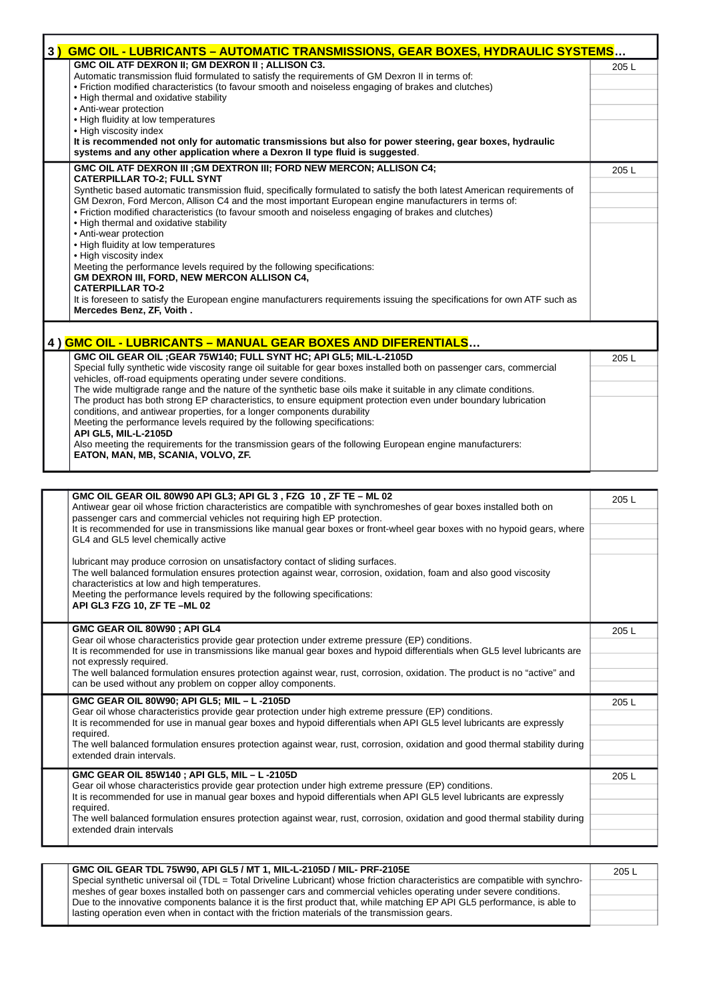| 3) | GMC OIL - LUBRICANTS - AUTOMATIC TRANSMISSIONS, GEAR BOXES, HYDRAULIC SYSTEMS                                             |       |
|----|---------------------------------------------------------------------------------------------------------------------------|-------|
|    | GMC OIL ATF DEXRON II; GM DEXRON II ; ALLISON C3.                                                                         | 205L  |
|    | Automatic transmission fluid formulated to satisfy the requirements of GM Dexron II in terms of:                          |       |
|    | · Friction modified characteristics (to favour smooth and noiseless engaging of brakes and clutches)                      |       |
|    | • High thermal and oxidative stability                                                                                    |       |
|    | • Anti-wear protection                                                                                                    |       |
|    | • High fluidity at low temperatures                                                                                       |       |
|    | • High viscosity index                                                                                                    |       |
|    | It is recommended not only for automatic transmissions but also for power steering, gear boxes, hydraulic                 |       |
|    | systems and any other application where a Dexron II type fluid is suggested.                                              |       |
|    | GMC OIL ATF DEXRON III ; GM DEXTRON III; FORD NEW MERCON; ALLISON C4;                                                     | 205 L |
|    | <b>CATERPILLAR TO-2; FULL SYNT</b>                                                                                        |       |
|    | Synthetic based automatic transmission fluid, specifically formulated to satisfy the both latest American requirements of |       |
|    | GM Dexron, Ford Mercon, Allison C4 and the most important European engine manufacturers in terms of:                      |       |
|    | • Friction modified characteristics (to favour smooth and noiseless engaging of brakes and clutches)                      |       |
|    | • High thermal and oxidative stability                                                                                    |       |
|    | • Anti-wear protection                                                                                                    |       |
|    | • High fluidity at low temperatures                                                                                       |       |
|    | • High viscosity index                                                                                                    |       |
|    | Meeting the performance levels required by the following specifications:                                                  |       |
|    | GM DEXRON III, FORD, NEW MERCON ALLISON C4,                                                                               |       |
|    | <b>CATERPILLAR TO-2</b>                                                                                                   |       |
|    | It is foreseen to satisfy the European engine manufacturers requirements issuing the specifications for own ATF such as   |       |
|    | Mercedes Benz, ZF, Voith.                                                                                                 |       |
|    |                                                                                                                           |       |
|    |                                                                                                                           |       |
|    | 4) GMC OIL - LUBRICANTS - MANUAL GEAR BOXES AND DIFERENTIALS                                                              |       |
|    | GMC OIL GEAR OIL ; GEAR 75W140; FULL SYNT HC; API GL5; MIL-L-2105D                                                        | 205L  |
|    | Special fully synthetic wide viscosity range oil suitable for gear boxes installed both on passenger cars, commercial     |       |
|    | vehicles, off-road equipments operating under severe conditions.                                                          |       |
|    | The wide multigrade range and the nature of the synthetic base oils make it suitable in any climate conditions.           |       |
|    | The product has both strong EP characteristics, to ensure equipment protection even under boundary lubrication            |       |
|    | conditions, and antiwear properties, for a longer components durability                                                   |       |
|    | Meeting the performance levels required by the following specifications:                                                  |       |
|    | API GL5, MIL-L-2105D                                                                                                      |       |
|    | Also meeting the requirements for the transmission gears of the following European engine manufacturers:                  |       |
|    | EATON, MAN, MB, SCANIA, VOLVO, ZF.                                                                                        |       |
|    |                                                                                                                           |       |
|    |                                                                                                                           |       |
|    | GMC OIL GEAR OIL 80W90 API GL3; API GL 3, FZG 10, ZF TE - ML 02                                                           | 205L  |
|    | Antiwear gear oil whose friction characteristics are compatible with synchromeshes of gear boxes installed both on        |       |
|    | passenger cars and commercial vehicles not requiring high EP protection.                                                  |       |
|    | It is recommended for use in transmissions like manual gear boxes or front-wheel gear boxes with no hypoid gears, where   |       |
|    | GL4 and GL5 level chemically active                                                                                       |       |
|    |                                                                                                                           |       |
|    | lubricant may produce corrosion on unsatisfactory contact of sliding surfaces.                                            |       |
|    | The well balanced formulation ensures protection against wear, corrosion, oxidation, foam and also good viscosity         |       |
|    | characteristics at low and high temperatures.                                                                             |       |

٦

Meeting the performance levels required by the following specifications:

**API GL3 FZG 10, ZF TE –ML 02**

**GMC GEAR OIL 80W90 ; API GL4** Gear oil whose characteristics provide gear protection under extreme pressure (EP) conditions. It is recommended for use in transmissions like manual gear boxes and hypoid differentials when GL5 level lubricants are not expressly required. The well balanced formulation ensures protection against wear, rust, corrosion, oxidation. The product is no "active" and can be used without any problem on copper alloy components. 205 L **GMC GEAR OIL 80W90; API GL5; MIL – L -2105D** Gear oil whose characteristics provide gear protection under high extreme pressure (EP) conditions. It is recommended for use in manual gear boxes and hypoid differentials when API GL5 level lubricants are expressly required. The well balanced formulation ensures protection against wear, rust, corrosion, oxidation and good thermal stability during extended drain intervals. 205 L **GMC GEAR OIL 85W140 ; API GL5, MIL – L -2105D** Gear oil whose characteristics provide gear protection under high extreme pressure (EP) conditions. It is recommended for use in manual gear boxes and hypoid differentials when API GL5 level lubricants are expressly required. The well balanced formulation ensures protection against wear, rust, corrosion, oxidation and good thermal stability during extended drain intervals 205 L

| GMC OIL GEAR TDL 75W90, API GL5 / MT 1, MIL-L-2105D / MIL- PRF-2105E                                                          | 205 L |
|-------------------------------------------------------------------------------------------------------------------------------|-------|
| Special synthetic universal oil (TDL = Total Driveline Lubricant) whose friction characteristics are compatible with synchro- |       |
| meshes of gear boxes installed both on passenger cars and commercial vehicles operating under severe conditions.              |       |
| Due to the innovative components balance it is the first product that, while matching EP API GL5 performance, is able to      |       |
| I lasting operation even when in contact with the friction materials of the transmission gears.                               |       |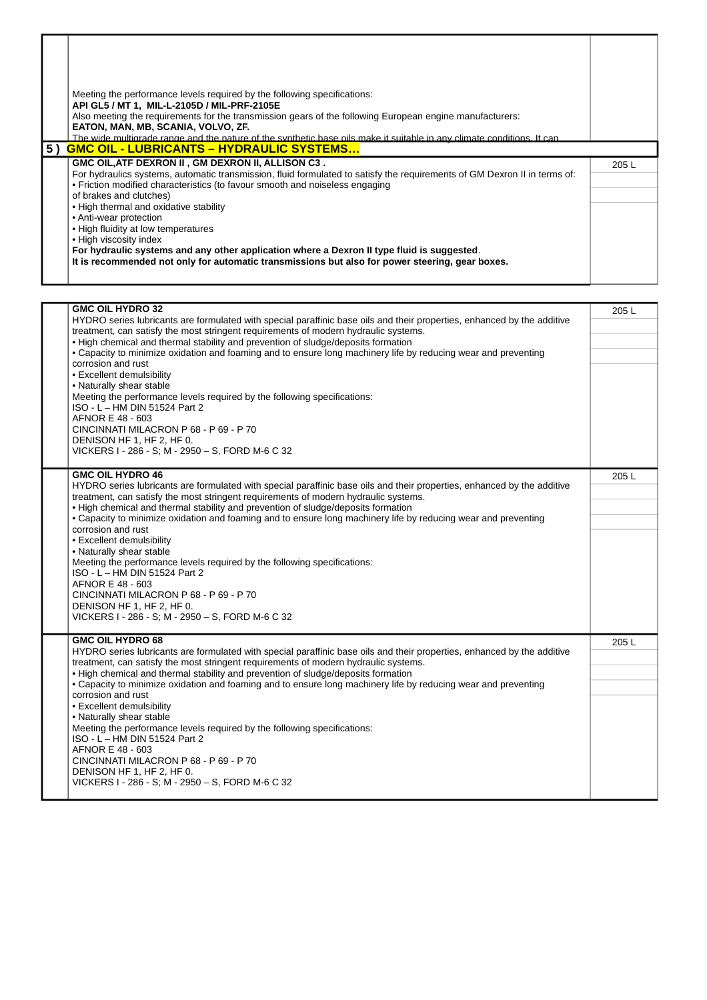|    | Meeting the performance levels required by the following specifications:<br>API GL5 / MT 1, MIL-L-2105D / MIL-PRF-2105E<br>Also meeting the requirements for the transmission gears of the following European engine manufacturers:<br>EATON, MAN, MB, SCANIA, VOLVO, ZF.<br>The wide multigrade range and the nature of the synthetic base oils make it suitable in any climate conditions. It can                                                                                                                                                                                                                             |      |
|----|---------------------------------------------------------------------------------------------------------------------------------------------------------------------------------------------------------------------------------------------------------------------------------------------------------------------------------------------------------------------------------------------------------------------------------------------------------------------------------------------------------------------------------------------------------------------------------------------------------------------------------|------|
| 5) | <b>GMC OIL - LUBRICANTS - HYDRAULIC SYSTEMS</b>                                                                                                                                                                                                                                                                                                                                                                                                                                                                                                                                                                                 |      |
|    | GMC OIL, ATF DEXRON II, GM DEXRON II, ALLISON C3.<br>For hydraulics systems, automatic transmission, fluid formulated to satisfy the requirements of GM Dexron II in terms of:<br>• Friction modified characteristics (to favour smooth and noiseless engaging<br>of brakes and clutches)<br>• High thermal and oxidative stability<br>• Anti-wear protection<br>• High fluidity at low temperatures<br>• High viscosity index<br>For hydraulic systems and any other application where a Dexron II type fluid is suggested.<br>It is recommended not only for automatic transmissions but also for power steering, gear boxes. | 205L |

| <b>GMC OIL HYDRO 32</b>                                                                                                                                                                             | 205L |
|-----------------------------------------------------------------------------------------------------------------------------------------------------------------------------------------------------|------|
| HYDRO series lubricants are formulated with special paraffinic base oils and their properties, enhanced by the additive                                                                             |      |
| treatment, can satisfy the most stringent requirements of modern hydraulic systems.<br>. High chemical and thermal stability and prevention of sludge/deposits formation                            |      |
| • Capacity to minimize oxidation and foaming and to ensure long machinery life by reducing wear and preventing                                                                                      |      |
| corrosion and rust                                                                                                                                                                                  |      |
| • Excellent demulsibility                                                                                                                                                                           |      |
| • Naturally shear stable                                                                                                                                                                            |      |
| Meeting the performance levels required by the following specifications:                                                                                                                            |      |
| ISO - L - HM DIN 51524 Part 2                                                                                                                                                                       |      |
| AFNOR E 48 - 603                                                                                                                                                                                    |      |
| CINCINNATI MILACRON P 68 - P 69 - P 70                                                                                                                                                              |      |
| DENISON HF 1, HF 2, HF 0.                                                                                                                                                                           |      |
| VICKERS I - 286 - S; M - 2950 - S, FORD M-6 C 32                                                                                                                                                    |      |
| <b>GMC OIL HYDRO 46</b>                                                                                                                                                                             | 205L |
| HYDRO series lubricants are formulated with special paraffinic base oils and their properties, enhanced by the additive                                                                             |      |
| treatment, can satisfy the most stringent requirements of modern hydraulic systems.                                                                                                                 |      |
| . High chemical and thermal stability and prevention of sludge/deposits formation                                                                                                                   |      |
| • Capacity to minimize oxidation and foaming and to ensure long machinery life by reducing wear and preventing                                                                                      |      |
| corrosion and rust                                                                                                                                                                                  |      |
| • Excellent demulsibility                                                                                                                                                                           |      |
| • Naturally shear stable                                                                                                                                                                            |      |
| Meeting the performance levels required by the following specifications:<br>ISO - L - HM DIN 51524 Part 2                                                                                           |      |
| AFNOR E 48 - 603                                                                                                                                                                                    |      |
| CINCINNATI MILACRON P 68 - P 69 - P 70                                                                                                                                                              |      |
| DENISON HF 1, HF 2, HF 0.                                                                                                                                                                           |      |
| VICKERS I - 286 - S; M - 2950 - S, FORD M-6 C 32                                                                                                                                                    |      |
|                                                                                                                                                                                                     |      |
| <b>GMC OIL HYDRO 68</b>                                                                                                                                                                             | 205L |
| HYDRO series lubricants are formulated with special paraffinic base oils and their properties, enhanced by the additive                                                                             |      |
| treatment, can satisfy the most stringent requirements of modern hydraulic systems.                                                                                                                 |      |
| . High chemical and thermal stability and prevention of sludge/deposits formation<br>• Capacity to minimize oxidation and foaming and to ensure long machinery life by reducing wear and preventing |      |
| corrosion and rust                                                                                                                                                                                  |      |
| • Excellent demulsibility                                                                                                                                                                           |      |
| • Naturally shear stable                                                                                                                                                                            |      |
| Meeting the performance levels required by the following specifications:                                                                                                                            |      |
| ISO - L - HM DIN 51524 Part 2                                                                                                                                                                       |      |
| AFNOR E 48 - 603                                                                                                                                                                                    |      |
| CINCINNATI MILACRON P 68 - P 69 - P 70                                                                                                                                                              |      |
| DENISON HF 1, HF 2, HF 0.                                                                                                                                                                           |      |
| VICKERS I - 286 - S; M - 2950 - S, FORD M-6 C 32                                                                                                                                                    |      |
|                                                                                                                                                                                                     |      |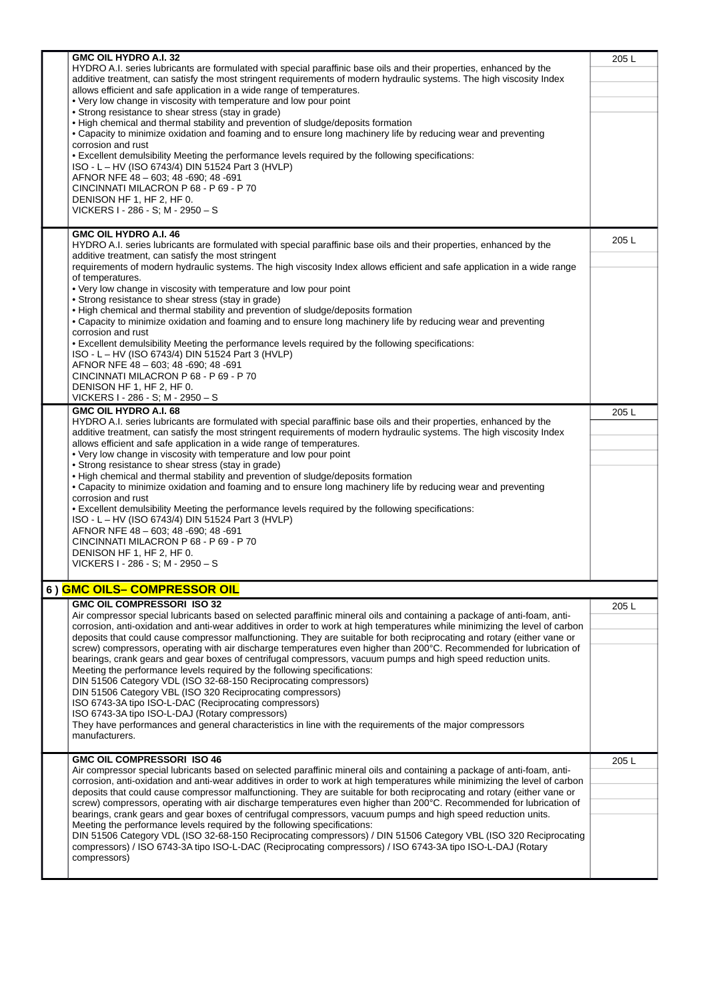|  | GMC OIL HYDRO A.I. 32<br>HYDRO A.I. series lubricants are formulated with special paraffinic base oils and their properties, enhanced by the<br>additive treatment, can satisfy the most stringent requirements of modern hydraulic systems. The high viscosity Index<br>allows efficient and safe application in a wide range of temperatures.<br>• Very low change in viscosity with temperature and low pour point<br>• Strong resistance to shear stress (stay in grade)<br>• High chemical and thermal stability and prevention of sludge/deposits formation<br>• Capacity to minimize oxidation and foaming and to ensure long machinery life by reducing wear and preventing<br>corrosion and rust<br>. Excellent demulsibility Meeting the performance levels required by the following specifications:<br>ISO - L - HV (ISO 6743/4) DIN 51524 Part 3 (HVLP)<br>AFNOR NFE 48 - 603: 48 - 690: 48 - 691<br>CINCINNATI MILACRON P 68 - P 69 - P 70<br>DENISON HF 1, HF 2, HF 0.<br>VICKERS I - 286 - S; M - 2950 - S<br><b>GMC OIL HYDRO A.I. 46</b> | 205L |
|--|------------------------------------------------------------------------------------------------------------------------------------------------------------------------------------------------------------------------------------------------------------------------------------------------------------------------------------------------------------------------------------------------------------------------------------------------------------------------------------------------------------------------------------------------------------------------------------------------------------------------------------------------------------------------------------------------------------------------------------------------------------------------------------------------------------------------------------------------------------------------------------------------------------------------------------------------------------------------------------------------------------------------------------------------------------|------|
|  | HYDRO A.I. series lubricants are formulated with special paraffinic base oils and their properties, enhanced by the<br>additive treatment, can satisfy the most stringent<br>requirements of modern hydraulic systems. The high viscosity Index allows efficient and safe application in a wide range<br>of temperatures.                                                                                                                                                                                                                                                                                                                                                                                                                                                                                                                                                                                                                                                                                                                                  | 205L |
|  | • Very low change in viscosity with temperature and low pour point<br>• Strong resistance to shear stress (stay in grade)<br>• High chemical and thermal stability and prevention of sludge/deposits formation<br>• Capacity to minimize oxidation and foaming and to ensure long machinery life by reducing wear and preventing<br>corrosion and rust                                                                                                                                                                                                                                                                                                                                                                                                                                                                                                                                                                                                                                                                                                     |      |
|  | . Excellent demulsibility Meeting the performance levels required by the following specifications:<br>ISO - L - HV (ISO 6743/4) DIN 51524 Part 3 (HVLP)<br>AFNOR NFE 48 - 603; 48 - 690; 48 - 691<br>CINCINNATI MILACRON P 68 - P 69 - P 70<br>DENISON HF 1, HF 2, HF 0.<br>VICKERS I - 286 - S; M - 2950 - S                                                                                                                                                                                                                                                                                                                                                                                                                                                                                                                                                                                                                                                                                                                                              |      |
|  | GMC OIL HYDRO A.I. 68<br>HYDRO A.I. series lubricants are formulated with special paraffinic base oils and their properties, enhanced by the<br>additive treatment, can satisfy the most stringent requirements of modern hydraulic systems. The high viscosity Index<br>allows efficient and safe application in a wide range of temperatures.<br>• Very low change in viscosity with temperature and low pour point<br>• Strong resistance to shear stress (stay in grade)                                                                                                                                                                                                                                                                                                                                                                                                                                                                                                                                                                               | 205L |
|  | . High chemical and thermal stability and prevention of sludge/deposits formation<br>• Capacity to minimize oxidation and foaming and to ensure long machinery life by reducing wear and preventing<br>corrosion and rust<br>. Excellent demulsibility Meeting the performance levels required by the following specifications:<br>ISO - L - HV (ISO 6743/4) DIN 51524 Part 3 (HVLP)                                                                                                                                                                                                                                                                                                                                                                                                                                                                                                                                                                                                                                                                       |      |
|  | AFNOR NFE 48 - 603; 48 - 690; 48 - 691<br>CINCINNATI MILACRON P 68 - P 69 - P 70<br>DENISON HF 1, HF 2, HF 0.<br>VICKERS I - 286 - S; M - 2950 - S                                                                                                                                                                                                                                                                                                                                                                                                                                                                                                                                                                                                                                                                                                                                                                                                                                                                                                         |      |
|  | 6 ) <mark>GMC OILS– COMPRESSOR OIL</mark>                                                                                                                                                                                                                                                                                                                                                                                                                                                                                                                                                                                                                                                                                                                                                                                                                                                                                                                                                                                                                  |      |
|  | <b>GMC OIL COMPRESSORI ISO 32</b>                                                                                                                                                                                                                                                                                                                                                                                                                                                                                                                                                                                                                                                                                                                                                                                                                                                                                                                                                                                                                          | 205L |
|  | Air compressor special lubricants based on selected paraffinic mineral oils and containing a package of anti-foam, anti-<br>corrosion, anti-oxidation and anti-wear additives in order to work at high temperatures while minimizing the level of carbon<br>deposits that could cause compressor malfunctioning. They are suitable for both reciprocating and rotary (either vane or                                                                                                                                                                                                                                                                                                                                                                                                                                                                                                                                                                                                                                                                       |      |
|  | screw) compressors, operating with air discharge temperatures even higher than 200°C. Recommended for lubrication of<br>bearings, crank gears and gear boxes of centrifugal compressors, vacuum pumps and high speed reduction units.<br>Meeting the performance levels required by the following specifications:<br>DIN 51506 Category VDL (ISO 32-68-150 Reciprocating compressors)<br>DIN 51506 Category VBL (ISO 320 Reciprocating compressors)<br>ISO 6743-3A tipo ISO-L-DAC (Reciprocating compressors)<br>ISO 6743-3A tipo ISO-L-DAJ (Rotary compressors)<br>They have performances and general characteristics in line with the requirements of the major compressors<br>manufacturers.                                                                                                                                                                                                                                                                                                                                                            |      |
|  | <b>GMC OIL COMPRESSORI ISO 46</b><br>Air compressor special lubricants based on selected paraffinic mineral oils and containing a package of anti-foam, anti-                                                                                                                                                                                                                                                                                                                                                                                                                                                                                                                                                                                                                                                                                                                                                                                                                                                                                              | 205L |
|  | corrosion, anti-oxidation and anti-wear additives in order to work at high temperatures while minimizing the level of carbon                                                                                                                                                                                                                                                                                                                                                                                                                                                                                                                                                                                                                                                                                                                                                                                                                                                                                                                               |      |
|  | deposits that could cause compressor malfunctioning. They are suitable for both reciprocating and rotary (either vane or<br>screw) compressors, operating with air discharge temperatures even higher than 200°C. Recommended for lubrication of                                                                                                                                                                                                                                                                                                                                                                                                                                                                                                                                                                                                                                                                                                                                                                                                           |      |
|  | bearings, crank gears and gear boxes of centrifugal compressors, vacuum pumps and high speed reduction units.<br>Meeting the performance levels required by the following specifications:<br>DIN 51506 Category VDL (ISO 32-68-150 Reciprocating compressors) / DIN 51506 Category VBL (ISO 320 Reciprocating<br>compressors) / ISO 6743-3A tipo ISO-L-DAC (Reciprocating compressors) / ISO 6743-3A tipo ISO-L-DAJ (Rotary<br>compressors)                                                                                                                                                                                                                                                                                                                                                                                                                                                                                                                                                                                                                |      |
|  |                                                                                                                                                                                                                                                                                                                                                                                                                                                                                                                                                                                                                                                                                                                                                                                                                                                                                                                                                                                                                                                            |      |
|  |                                                                                                                                                                                                                                                                                                                                                                                                                                                                                                                                                                                                                                                                                                                                                                                                                                                                                                                                                                                                                                                            |      |